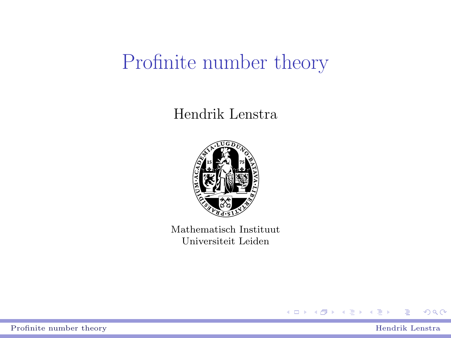# Profinite number theory

#### Hendrik Lenstra



Mathematisch Instituut Universiteit Leiden



÷.

<span id="page-0-0"></span> $299$ 

4 ロ ト イ母 ト イヨ ト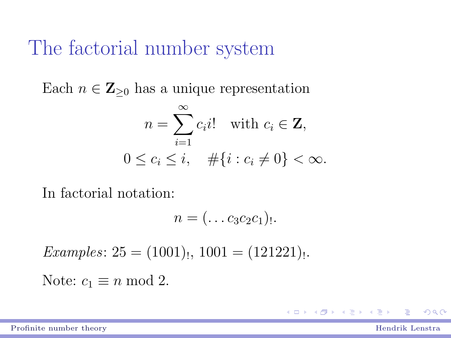### The factorial number system

Each  $n \in \mathbb{Z}_{\geq 0}$  has a unique representation

$$
n = \sum_{i=1}^{\infty} c_i i! \quad \text{with } c_i \in \mathbf{Z},
$$
  

$$
0 \le c_i \le i, \quad #\{i : c_i \neq 0\} < \infty.
$$

In factorial notation:

$$
n=(\ldots c_3c_2c_1).
$$

 $Examples: 25 = (1001)_{!,} 1001 = (121221)_{!}.$ Note:  $c_1 \equiv n \mod 2$ .

[Profinite number theory](#page-0-0) Hendrik Lenstra

 $QQ$ 

モロメ メ御き メミメ メミメ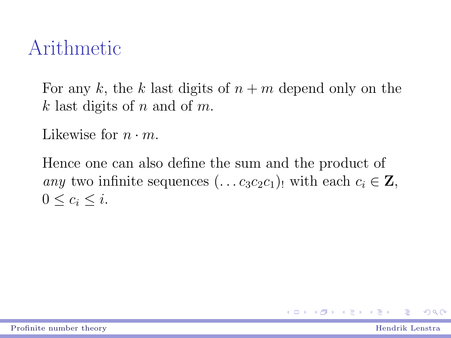### Arithmetic

For any k, the k last digits of  $n + m$  depend only on the k last digits of n and of m.

Likewise for  $n \cdot m$ .

Hence one can also define the sum and the product of any two infinite sequences  $(\ldots c_3c_2c_1)$  with each  $c_i \in \mathbf{Z}$ ,  $0 \leq c_i \leq i$ .

 $QQ$ 

モロメ メ御き メミメ メミメ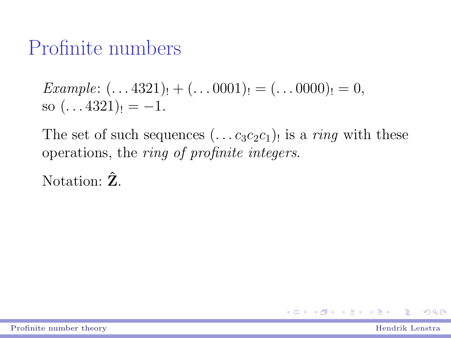### Profinite numbers

*Example*: 
$$
(... 4321)_! + (... 0001)_! = (... 0000)_! = 0,
$$
  
so  $(... 4321)_! = -1.$ 

The set of such sequences  $(\ldots c_3 c_2 c_1)$  is a *ring* with these operations, the ring of profinite integers.

Notation:  $\hat{Z}$ .

 $\left\{ \begin{array}{ccc} 1 & 0 & 0 \\ 0 & 1 & 0 \end{array} \right.$  $QQ$ 

[Profinite number theory](#page-0-0) Hendrik Lenstra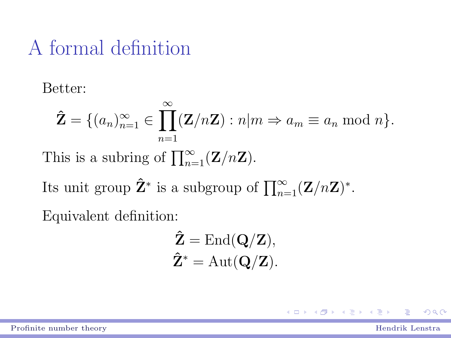# A formal definition

Better:

$$
\hat{\mathbf{Z}} = \{(a_n)_{n=1}^{\infty} \in \prod_{n=1}^{\infty} (\mathbf{Z}/n\mathbf{Z}) : n|m \Rightarrow a_m \equiv a_n \bmod n\}.
$$
  
This is a subring of  $\prod_{n=1}^{\infty} (\mathbf{Z}/n\mathbf{Z}).$   
Its unit group  $\hat{\mathbf{Z}}^*$  is a subgroup of  $\prod_{n=1}^{\infty} (\mathbf{Z}/n\mathbf{Z})^*$ .  
Equivalent definition:

$$
\hat{Z} = \text{End}(\mathbf{Q}/\mathbf{Z}),
$$
  

$$
\hat{Z}^* = \text{Aut}(\mathbf{Q}/\mathbf{Z}).
$$

[Profinite number theory](#page-0-0) **Hendrik Lenstra** 

E

イロト イ部ト イヨト イヨト

 $2980$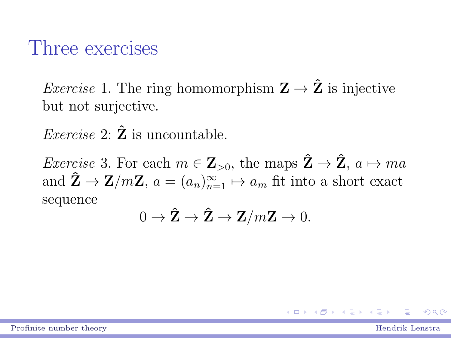#### Three exercises

*Exercise* 1. The ring homomorphism  $\mathbf{Z} \to \hat{\mathbf{Z}}$  is injective but not surjective.

*Exercise* 2:  $\hat{Z}$  is uncountable.

*Exercise* 3. For each  $m \in \mathbb{Z}_{>0}$ , the maps  $\hat{\mathbb{Z}} \to \hat{\mathbb{Z}}$ ,  $a \mapsto ma$ and  $\hat{\mathbf{Z}} \to \mathbf{Z}/m\mathbf{Z}$ ,  $a = (a_n)_{n=1}^{\infty} \mapsto a_m$  fit into a short exact sequence

$$
0 \to \hat{\mathbf{Z}} \to \hat{\mathbf{Z}} \to \mathbf{Z}/m\mathbf{Z} \to 0.
$$

 $QQ$ 

(ロ) (個) (差) (差)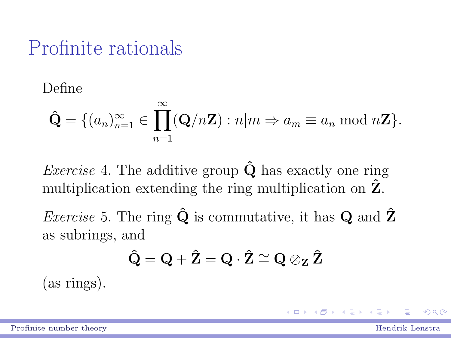### Profinite rationals

Define

$$
\hat{\mathbf{Q}} = \{ (a_n)_{n=1}^{\infty} \in \prod_{n=1}^{\infty} (\mathbf{Q}/n\mathbf{Z}) : n|m \Rightarrow a_m \equiv a_n \bmod n\mathbf{Z} \}.
$$

*Exercise* 4. The additive group  $\hat{Q}$  has exactly one ring multiplication extending the ring multiplication on  $\hat{Z}$ .

*Exercise* 5. The ring  $\hat{\mathbf{Q}}$  is commutative, it has **Q** and  $\hat{\mathbf{Z}}$ as subrings, and

$$
\hat{\mathbf{Q}} = \mathbf{Q} + \hat{\mathbf{Z}} = \mathbf{Q} \cdot \hat{\mathbf{Z}} \cong \mathbf{Q} \otimes_{\mathbf{Z}} \hat{\mathbf{Z}}
$$

(as rings).

 $QQ$ 

医毛囊 医牙骨膜炎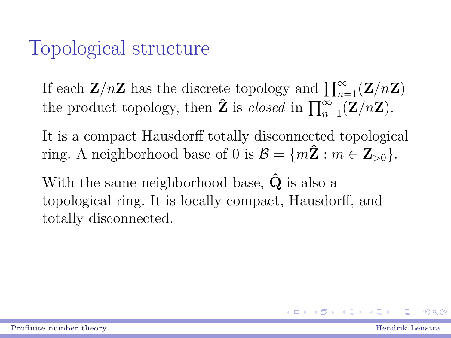### Topological structure

If each  $\mathbf{Z}/n\mathbf{Z}$  has the discrete topology and  $\prod_{n=1}^{\infty}(\mathbf{Z}/n\mathbf{Z})$ the product topology, then  $\hat{Z}$  is *closed* in  $\prod_{n=1}^{\infty} (Z/nZ)$ .

It is a compact Hausdorff totally disconnected topological ring. A neighborhood base of 0 is  $\mathcal{B} = \{m\hat{\mathbf{Z}} : m \in \mathbf{Z}_{>0}\}.$ 

With the same neighborhood base,  $\hat{Q}$  is also a topological ring. It is locally compact, Hausdorff, and totally disconnected.

 $QQ$ 

(ロ) (個) (重) (重)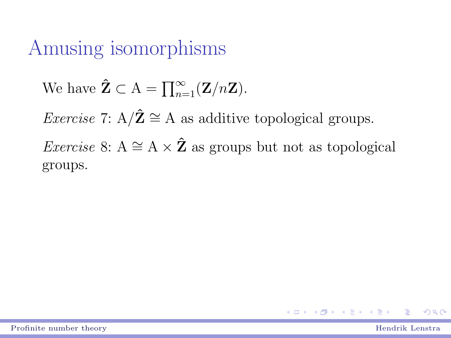### Amusing isomorphisms

We have 
$$
\hat{\mathbf{Z}} \subset A = \prod_{n=1}^{\infty} (\mathbf{Z}/n\mathbf{Z}).
$$

*Exercise* 7:  $A/\hat{Z} \cong A$  as additive topological groups.

*Exercise* 8: A  $\cong$  A  $\times$  2 $\hat{Z}$  as groups but not as topological groups.

$$
\frac{1}{2}
$$

**ALCOHOL: ALCOHOL:**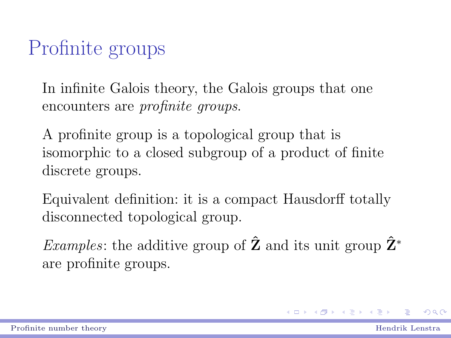# Profinite groups

In infinite Galois theory, the Galois groups that one encounters are *profinite* groups.

A profinite group is a topological group that is isomorphic to a closed subgroup of a product of finite discrete groups.

Equivalent definition: it is a compact Hausdorff totally disconnected topological group.

Examples: the additive group of  $\hat{Z}$  and its unit group  $\hat{Z}^*$ are profinite groups.

 $QQ$ 

イロメ イ部メ イ君メ イ君メート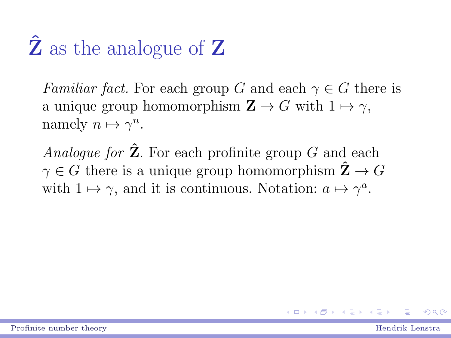# $\ddot{Z}$  as the analogue of  $Z$

Familiar fact. For each group G and each  $\gamma \in G$  there is a unique group homomorphism  $\mathbf{Z} \to G$  with  $1 \mapsto \gamma$ , namely  $n \mapsto \gamma^n$ .

Analogue for  $\hat{Z}$ . For each profinite group G and each  $\gamma \in G$  there is a unique group homomorphism  $\hat{\mathbf{Z}} \to G$ with  $1 \mapsto \gamma$ , and it is continuous. Notation:  $a \mapsto \gamma^a$ .

 $QQ$ 

**K ロ ト K 何 ト K ヨ ト K ヨ ト** …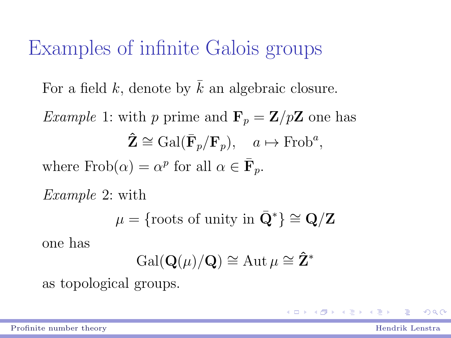# Examples of infinite Galois groups

For a field  $k$ , denote by  $k$  an algebraic closure.

*Example 1:* with p prime and  $\mathbf{F}_p = \mathbf{Z}/p\mathbf{Z}$  one has  $\mathbf{\hat{Z}} \cong \text{Gal}(\bar{\mathbf{F}}_p/\mathbf{F}_p), \quad a \mapsto \text{Frob}^a,$ where  $Frob(\alpha) = \alpha^p$  for all  $\alpha \in \overline{\mathbf{F}}_p$ .

Example 2: with

$$
\mu = \{ \text{roots of unity in } \bar{\mathbf{Q}}^* \} \cong \mathbf{Q}/\mathbf{Z}
$$

one has

$$
\operatorname{Gal}(\mathbf{Q}(\mu)/\mathbf{Q}) \cong \operatorname{Aut} \mu \cong \hat{\mathbf{Z}}^*
$$

as topological groups.

[Profinite number theory](#page-0-0) **Example 2018** Profinite number theory **Hendrik** Lenstra

 $ORQ$ 

**◆ロト ◆ 御ト → 唐 → → 唐 →** →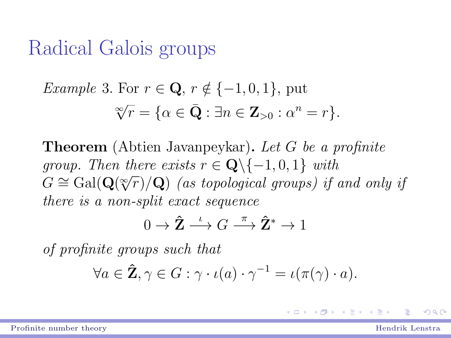### Radical Galois groups

*Example 3.* For 
$$
r \in \mathbf{Q}
$$
,  $r \notin \{-1, 0, 1\}$ , put  

$$
\sqrt[\infty]{r} = \{ \alpha \in \bar{\mathbf{Q}} : \exists n \in \mathbf{Z}_{>0} : \alpha^n = r \}.
$$

Theorem (Abtien Javanpeykar). Let G be a profinite group. Then there exists  $r \in \mathbf{Q} \setminus \{-1, 0, 1\}$  with group. Then there exists  $r \in \mathbb{Q} \setminus (-1, 0, 1)$  with<br> $G \cong \text{Gal}(\mathbf{Q}(\sqrt[\infty]{r})/\mathbf{Q})$  (as topological groups) if and only if there is a non-split exact sequence

$$
0 \to \hat{\mathbf{Z}} \stackrel{\iota}{\longrightarrow} G \stackrel{\pi}{\longrightarrow} \hat{\mathbf{Z}}^* \to 1
$$

of profinite groups such that

$$
\forall a \in \hat{Z}, \gamma \in G : \gamma \cdot \iota(a) \cdot \gamma^{-1} = \iota(\pi(\gamma) \cdot a).
$$

[Profinite number theory](#page-0-0) **Example 2018** Profinite number theory **Hendrik** Lenstra

 $QQ$ 

モロメ メ御き メミメ メミメ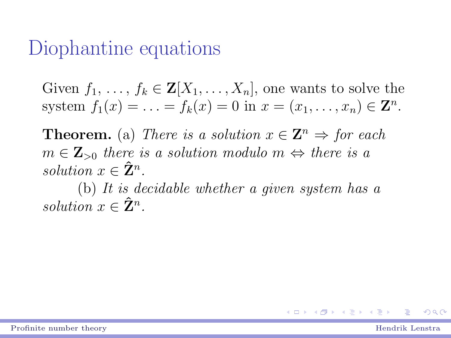#### Diophantine equations

Given  $f_1, \ldots, f_k \in \mathbf{Z}[X_1, \ldots, X_n]$ , one wants to solve the system  $f_1(x) = \ldots = f_k(x) = 0$  in  $x = (x_1, \ldots, x_n) \in \mathbb{Z}^n$ .

**Theorem.** (a) There is a solution  $x \in \mathbb{Z}^n \Rightarrow$  for each  $m \in \mathbb{Z}_{>0}$  there is a solution modulo  $m \Leftrightarrow$  there is a solution  $x \in \hat{\mathbf{Z}}^n$ .

(b) It is decidable whether a given system has a solution  $x \in \hat{\mathbf{Z}}^n$ .

 $QQ$ 

K ロ ▶ K 御 ▶ K 澄 ▶ K 澄 ▶ ...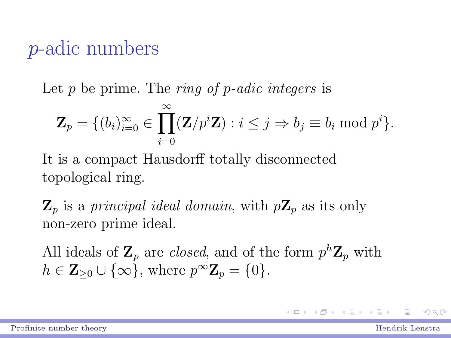### p-adic numbers

Let  $p$  be prime. The *ring of p-adic integers* is

$$
\mathbf{Z}_{p} = \{ (b_{i})_{i=0}^{\infty} \in \prod_{i=0}^{\infty} (\mathbf{Z}/p^{i}\mathbf{Z}) : i \leq j \Rightarrow b_{j} \equiv b_{i} \bmod p^{i} \}.
$$

It is a compact Hausdorff totally disconnected topological ring.

 $\mathbf{Z}_p$  is a principal ideal domain, with  $p\mathbf{Z}_p$  as its only non-zero prime ideal.

All ideals of  $\mathbf{Z}_p$  are *closed*, and of the form  $p^h \mathbf{Z}_p$  with  $h \in \mathbf{Z}_{\geq 0} \cup \{\infty\},\$  where  $p^{\infty}\mathbf{Z}_p = \{0\}.$ 

 $QQQ$ 

K ロ ▶ K 優 ▶ K 결 ▶ K 결 ▶ │ 결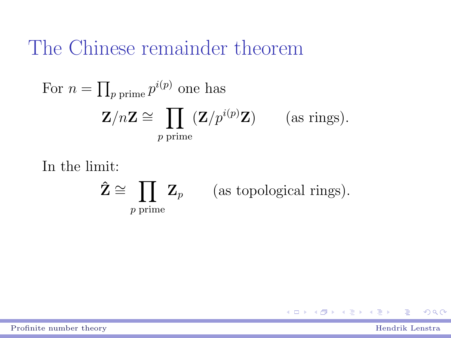### The Chinese remainder theorem

For 
$$
n = \prod_{p \text{ prime}} p^{i(p)}
$$
 one has  
\n
$$
\mathbf{Z}/n\mathbf{Z} \cong \prod_{p \text{ prime}} (\mathbf{Z}/p^{i(p)}\mathbf{Z}) \qquad \text{(as rings)}.
$$

In the limit:

$$
\hat{\mathbf{Z}} \cong \prod_{p \text{ prime}} \mathbf{Z}_p \qquad \text{(as topological rings)}.
$$

[Profinite number theory](#page-0-0) **Hendrik Lenstra** 

E

 $298$ 

メロメ メ御き メミメ メミメ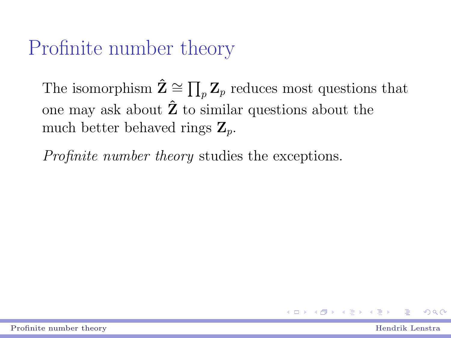# Profinite number theory

The isomorphism  $\hat{\mathbf{Z}} \cong \prod_{p} \mathbf{Z}_p$  reduces most questions that one may ask about  $\hat{Z}$  to similar questions about the much better behaved rings  $\mathbf{Z}_n$ .

Profinite number theory studies the exceptions.

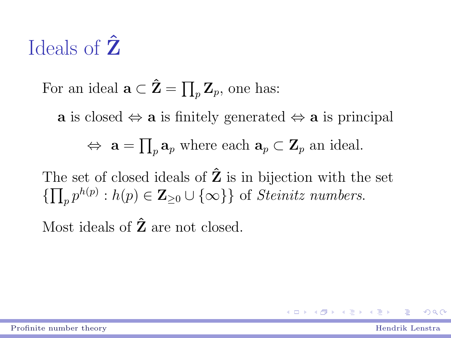# Ideals of  $\hat{Z}$

For an ideal  $\mathbf{a} \subset \hat{\mathbf{Z}} = \prod_p \mathbf{Z}_p$ , one has:

a is closed  $\Leftrightarrow$  a is finitely generated  $\Leftrightarrow$  a is principal

$$
\Leftrightarrow \mathbf{a} = \prod_p \mathbf{a}_p \text{ where each } \mathbf{a}_p \subset \mathbf{Z}_p \text{ an ideal.}
$$

The set of closed ideals of  $\hat{Z}$  is in bijection with the set  $\{\prod_p p^{h(p)} : h(p) \in \mathbb{Z}_{\geq 0} \cup \{\infty\}\}\$  of *Steinitz numbers*.

Most ideals of  $\hat{Z}$  are not closed.

 $QQ$ 

イロメ イ部メ イヨメ イヨメ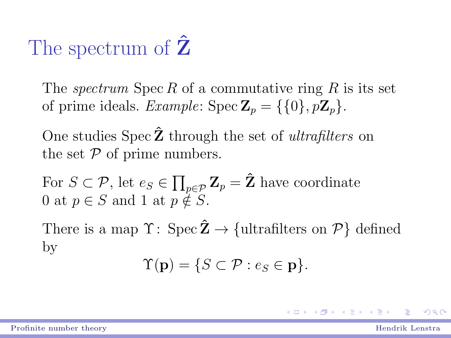# The spectrum of  $\hat{Z}$

The *spectrum* Spec R of a commutative ring R is its set of prime ideals. Example:  $Spec \mathbf{Z}_n = \{ \{0\}, p\mathbf{Z}_n \}.$ 

One studies Spec  $\hat{Z}$  through the set of *ultrafilters* on the set  $P$  of prime numbers.

For  $S \subset \mathcal{P}$ , let  $e_S \in \prod_{p \in \mathcal{P}} \mathbf{Z}_p = \hat{\mathbf{Z}}$  have coordinate 0 at  $p \in S$  and 1 at  $p \notin S$ .

There is a map  $\Upsilon: Spec \tilde{Z} \to \{ultrafilters on \mathcal{P}\}\$  defined by

$$
\Upsilon(\mathbf{p}) = \{ S \subset \mathcal{P} : e_S \in \mathbf{p} \}.
$$

 $QQQ$ 

K ロチ K 御 F K 電 F K 電 F …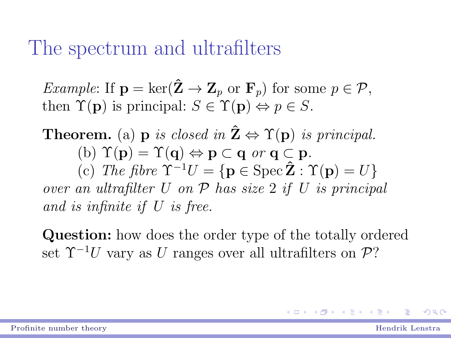### The spectrum and ultrafilters

*Example*: If  $\mathbf{p} = \ker(\hat{\mathbf{Z}} \to \mathbf{Z}_p$  or  $\mathbf{F}_p$  for some  $p \in \mathcal{P}$ , then  $\Upsilon(\mathbf{p})$  is principal:  $S \in \Upsilon(\mathbf{p}) \Leftrightarrow p \in S$ .

**Theorem.** (a) **p** is closed in  $\hat{\mathbf{Z}} \Leftrightarrow \Upsilon(\mathbf{p})$  is principal. (b)  $\Upsilon(\mathbf{p}) = \Upsilon(\mathbf{q}) \Leftrightarrow \mathbf{p} \subset \mathbf{q}$  or  $\mathbf{q} \subset \mathbf{p}$ . (c) The fibre  $\Upsilon^{-1}U = {\bf p \in \text{Spec } } \hat{Z} : \Upsilon({\bf p}) = U$ over an ultrafilter  $U$  on  $P$  has size 2 if  $U$  is principal and is infinite if U is free.

Question: how does the order type of the totally ordered set  $\Upsilon^{-1}U$  vary as U ranges over all ultrafilters on P?

KID KARD KID KID XIN T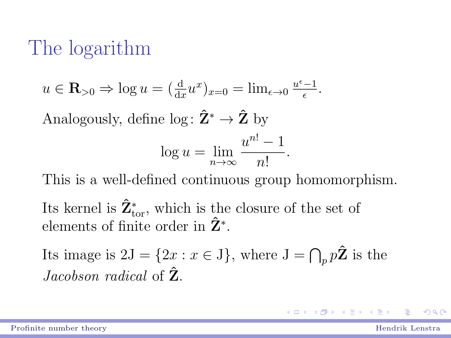# The logarithm

$$
u \in \mathbf{R}_{>0} \Rightarrow \log u = (\frac{d}{dx}u^x)_{x=0} = \lim_{\epsilon \to 0} \frac{u^{\epsilon}-1}{\epsilon}.
$$

Analogously, define  $\log: \hat{\mathbf{Z}}^* \to \hat{\mathbf{Z}}$  by

$$
\log u = \lim_{n \to \infty} \frac{u^{n!} - 1}{n!}.
$$

This is a well-defined continuous group homomorphism.

Its kernel is  $\hat{\mathbf{Z}}_{\text{tor}}^{*}$ , which is the closure of the set of elements of finite order in  $\hat{\mathbf{Z}}^*$ .

Its image is  $2J = \{2x : x \in J\}$ , where  $J = \bigcap_p p\hat{Z}$  is the *Jacobson radical* of  $\hat{Z}$ .

 $QQ$ 

イロン メ都 メイ君 メイ君 メー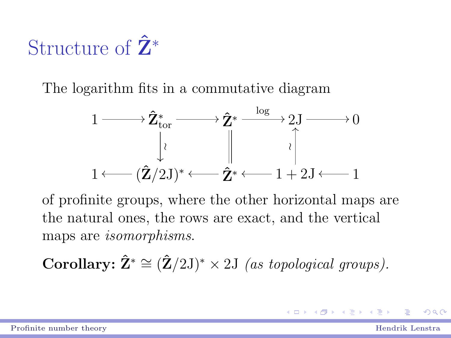# Structure of  $\hat{\mathbf{Z}}^*$

The logarithm fits in a commutative diagram



of profinite groups, where the other horizontal maps are the natural ones, the rows are exact, and the vertical maps are isomorphisms.

Corollary:  $\hat{\mathbf{Z}}^* \cong (\hat{\mathbf{Z}}/2\mathbf{J})^* \times 2\mathbf{J}$  (as topological groups).

 $\eta$ an

K ロ X K @ X K 할 X K 할 X ( 할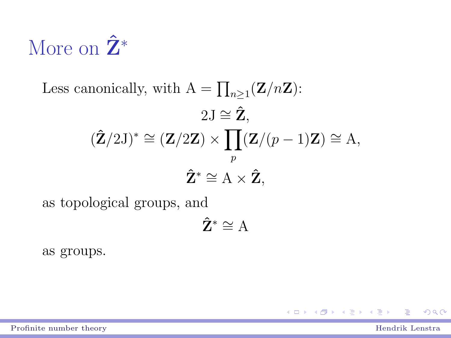# More on  $\hat{\mathbf{Z}}^*$

Less canonically, with  $A = \prod_{n \geq 1} (Z/nZ)$ :  $2J \cong \hat{Z}$ .  $(\hat{\mathbf{Z}}/2\mathrm{J})^* \cong (\mathbf{Z}/2\mathbf{Z}) \times \prod (\mathbf{Z}/(p-1)\mathbf{Z}) \cong \mathrm{A},$ p  $\hat{\mathbf{Z}}^* \cong A \times \hat{\mathbf{Z}}$ ,

as topological groups, and

$$
\mathbf{\hat{Z}}^*\cong A
$$

as groups.

 $QQ$ 

イロメ イ部メ イヨメ イヨメ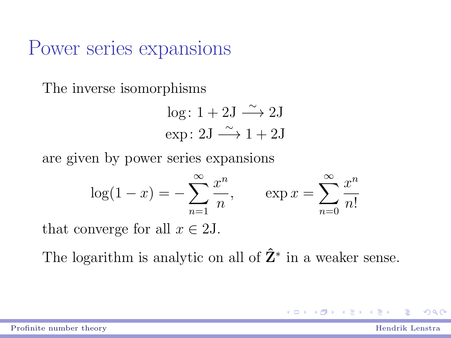#### Power series expansions

The inverse isomorphisms

$$
log: 1 + 2J \xrightarrow{\sim} 2J
$$
  
exp: 2J \xrightarrow{\sim} 1 + 2J

are given by power series expansions

$$
log(1 - x) = -\sum_{n=1}^{\infty} \frac{x^n}{n},
$$
  $exp x = \sum_{n=0}^{\infty} \frac{x^n}{n!}$ 

that converge for all  $x \in 2J$ .

The logarithm is analytic on all of  $\hat{Z}^*$  in a weaker sense.

 $QQQ$ 

 $A \stackrel{\frown}{\longrightarrow} A \stackrel{\frown}{\longrightarrow} A \stackrel{\frown}{\longrightarrow} A \stackrel{\frown}{\longrightarrow} A$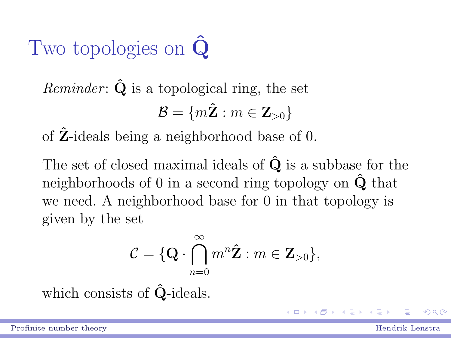# Two topologies on **Q**

*Reminder:*  $\hat{Q}$  is a topological ring, the set  $\mathcal{B} = \{m\hat{\mathbf{Z}} : m \in \mathbf{Z}_{>0}\}$ 

of Zˆ-ideals being a neighborhood base of 0.

The set of closed maximal ideals of  $\hat{Q}$  is a subbase for the neighborhoods of 0 in a second ring topology on  $\ddot{Q}$  that we need. A neighborhood base for 0 in that topology is given by the set

$$
\mathcal{C} = \{ \mathbf{Q} \cdot \bigcap_{n=0}^{\infty} m^n \hat{\mathbf{Z}} : m \in \mathbf{Z}_{>0} \},\
$$

which consists of  $\hat{Q}$ -ideals.

 $\Omega$ 

**KO K K 4 8 K K 4 8 K K**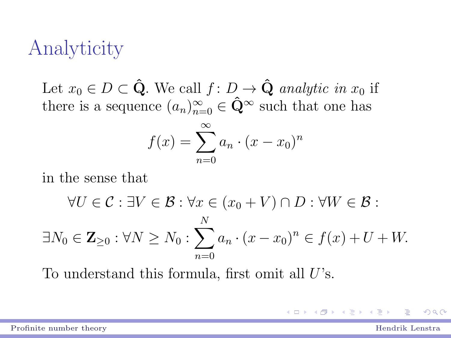# Analyticity

Let  $x_0 \in D \subset \hat{Q}$ . We call  $f: D \to \hat{Q}$  analytic in  $x_0$  if there is a sequence  $(a_n)_{n=0}^{\infty} \in \hat{Q}^{\infty}$  such that one has

$$
f(x) = \sum_{n=0}^{\infty} a_n \cdot (x - x_0)^n
$$

in the sense that

$$
\forall U \in \mathcal{C} : \exists V \in \mathcal{B} : \forall x \in (x_0 + V) \cap D : \forall W \in \mathcal{B} :
$$

$$
\exists N_0 \in \mathbf{Z}_{\geq 0} : \forall N \geq N_0 : \sum_{n=0}^N a_n \cdot (x - x_0)^n \in f(x) + U + W.
$$

To understand this formula, first omit all  $U$ 's.

 $QQ$ 

4 ロ ト イ何 ト イヨ ト イヨ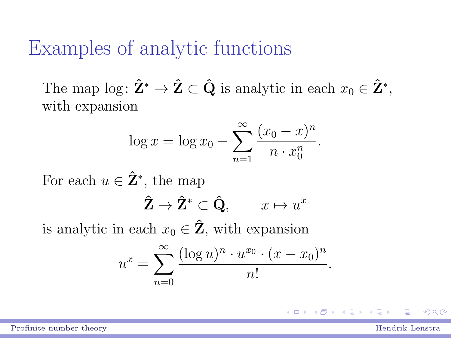### Examples of analytic functions

The map log:  $\hat{\mathbf{Z}}^* \to \hat{\mathbf{Z}} \subset \hat{\mathbf{Q}}$  is analytic in each  $x_0 \in \hat{\mathbf{Z}}^*$ , with expansion

$$
\log x = \log x_0 - \sum_{n=1}^{\infty} \frac{(x_0 - x)^n}{n \cdot x_0^n}.
$$

For each  $u \in \mathbf{\hat{Z}}^*$ , the map

$$
\hat{\mathbf{Z}} \to \hat{\mathbf{Z}}^* \subset \hat{\mathbf{Q}}, \qquad x \mapsto u^x
$$

is analytic in each  $x_0 \in \hat{Z}$ , with expansion

$$
u^{x} = \sum_{n=0}^{\infty} \frac{(\log u)^{n} \cdot u^{x_0} \cdot (x - x_0)^n}{n!}
$$

[Profinite number theory](#page-0-0) **Example 2018** Profinite number theory **Hendrik** Lenstra

 $\Omega$ 

.

イロメ イ部メ イヨメ イヨメ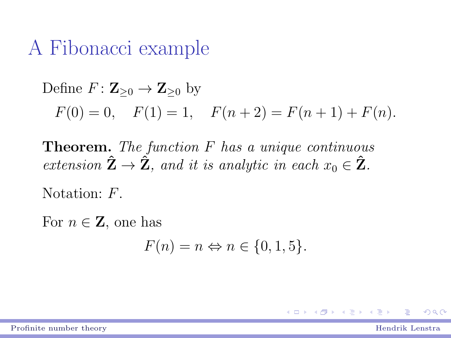### A Fibonacci example

Define  $F: \mathbb{Z}_{\geq 0} \to \mathbb{Z}_{\geq 0}$  by  $F(0) = 0$ ,  $F(1) = 1$ ,  $F(n+2) = F(n+1) + F(n)$ .

**Theorem.** The function  $F$  has a unique continuous extension  $\hat{\mathbf{Z}} \to \hat{\mathbf{Z}}$ , and it is analytic in each  $x_0 \in \hat{\mathbf{Z}}$ .

Notation:  $F$ .

For  $n \in \mathbb{Z}$ , one has

$$
F(n) = n \Leftrightarrow n \in \{0, 1, 5\}.
$$

イロン メ都 メイ君 メイ君 メー

 $QQ$ 

[Profinite number theory](#page-0-0) Hendrik Lenstra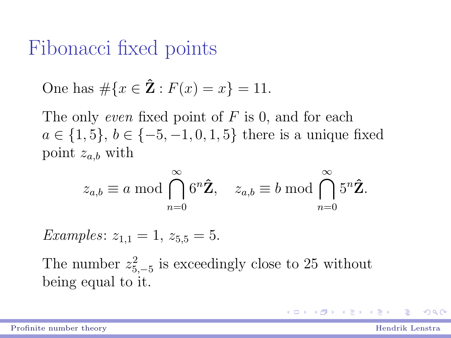### Fibonacci fixed points

One has 
$$
\#\{x \in \hat{Z} : F(x) = x\} = 11
$$
.

The only *even* fixed point of  $F$  is 0, and for each  $a \in \{1, 5\}, b \in \{-5, -1, 0, 1, 5\}$  there is a unique fixed point  $z_{a,b}$  with

$$
z_{a,b} \equiv a \bmod \bigcap_{n=0}^{\infty} 6^n \hat{Z}, \quad z_{a,b} \equiv b \bmod \bigcap_{n=0}^{\infty} 5^n \hat{Z}.
$$

*Examples*:  $z_{1,1} = 1$ ,  $z_{5,5} = 5$ .

The number  $z_{5,-5}^2$  is exceedingly close to 25 without being equal to it.

 $QQQ$ 

イロン メ都 メイ君 メイ君 メー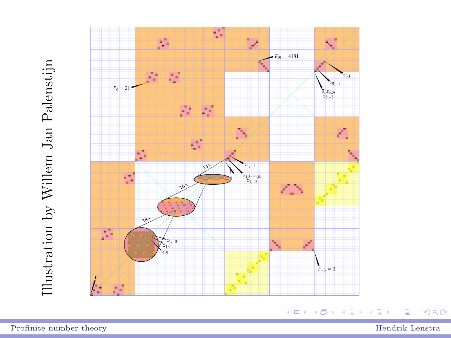



÷,

Ξ

 $299$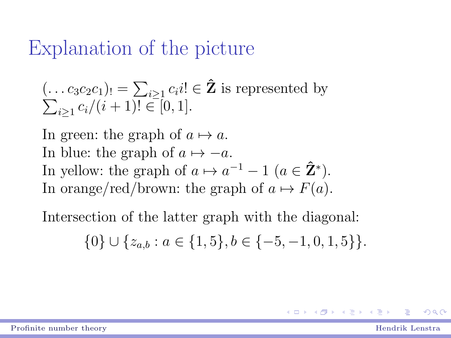### Explanation of the picture

$$
(\ldots c_3 c_2 c_1)_! = \sum_{i \ge 1} c_i i! \in \hat{\mathbf{Z}}
$$
 is represented by  

$$
\sum_{i \ge 1} c_i/(i+1)! \in [0,1].
$$

In green: the graph of  $a \mapsto a$ . In blue: the graph of  $a \mapsto -a$ . In yellow: the graph of  $a \mapsto a^{-1} - 1$   $(a \in \hat{Z}^*)$ . In orange/red/brown: the graph of  $a \mapsto F(a)$ .

Intersection of the latter graph with the diagonal:

$$
\{0\} \cup \{z_{a,b} : a \in \{1,5\}, b \in \{-5, -1, 0, 1, 5\}\}.
$$

 $QQ$ 

 $\left\{ \begin{array}{ccc} 1 & 0 & 0 \\ 0 & 1 & 0 \end{array} \right.$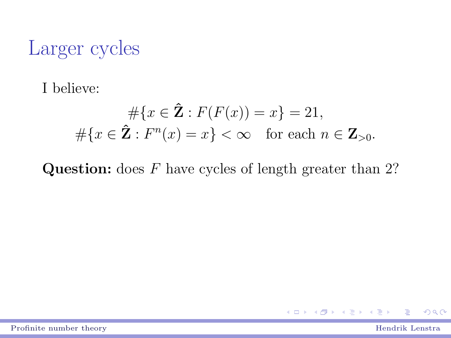# Larger cycles

I believe:

$$
\#\{x \in \mathbf{\hat{Z}} : F(F(x)) = x\} = 21,
$$
  

$$
\#\{x \in \mathbf{\hat{Z}} : F^n(x) = x\} < \infty \quad \text{for each } n \in \mathbf{Z}_{>0}.
$$

**Question:** does  $F$  have cycles of length greater than 2?

[Profinite number theory](#page-0-0) Hendrik Lenstra

÷

 $QQ$ 

イロト イ部ト イヨト イヨト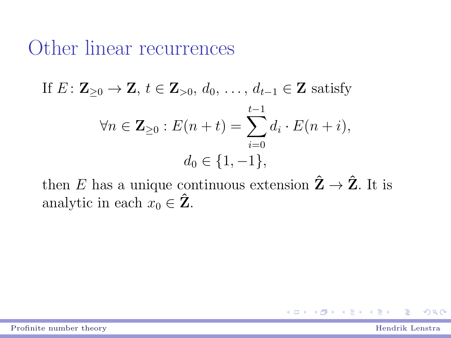#### Other linear recurrences

If 
$$
E: \mathbf{Z}_{\geq 0} \to \mathbf{Z}
$$
,  $t \in \mathbf{Z}_{>0}$ ,  $d_0, \ldots, d_{t-1} \in \mathbf{Z}$  satisfy  
\n
$$
\forall n \in \mathbf{Z}_{\geq 0} : E(n+t) = \sum_{i=0}^{t-1} d_i \cdot E(n+i),
$$
\n
$$
d_0 \in \{1, -1\},
$$

then E has a unique continuous extension  $\hat{Z} \rightarrow \hat{Z}$ . It is analytic in each  $x_0 \in \hat{\mathbf{Z}}$ .

 $QQ$ 

→ 夏米 → 夏米

(□ ) (母 )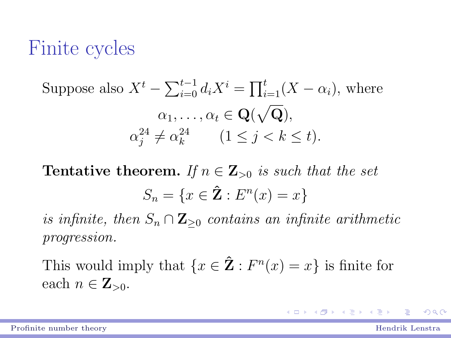### Finite cycles

Suppose also 
$$
X^t - \sum_{i=0}^{t-1} d_i X^i = \prod_{i=1}^t (X - \alpha_i)
$$
, where  
\n $\alpha_1, \dots, \alpha_t \in \mathbf{Q}(\sqrt{\mathbf{Q}}),$   
\n $\alpha_j^{24} \neq \alpha_k^{24}$   $(1 \leq j < k \leq t).$ 

**Tentative theorem.** If  $n \in \mathbb{Z}_{>0}$  is such that the set  $S_n = \{x \in \mathbf{\hat{Z}} : E^n(x) = x\}$ 

is infinite, then  $S_n \cap \mathbf{Z}_{\geq 0}$  contains an infinite arithmetic progression.

This would imply that  $\{x \in \mathbf{\hat{Z}} : F^n(x) = x\}$  is finite for each  $n \in \mathbb{Z}_{>0}$ .

 $QQ$ 

◆ロト→ ← 御 ト → 連 ト → 連 ト …